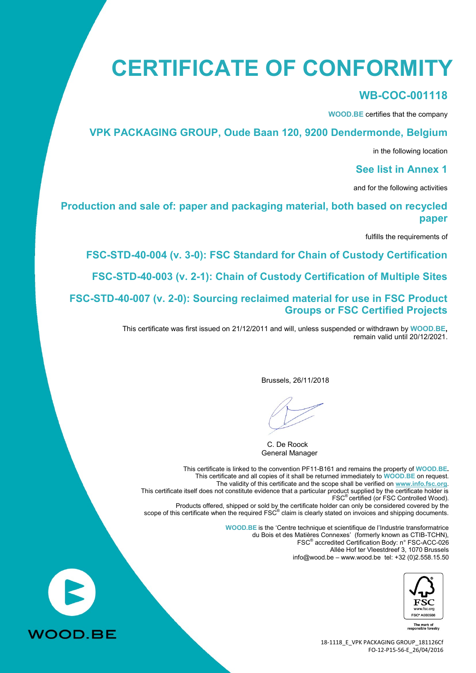# **CERTIFICATE OF CONFORMITY**

#### **WB-COC-001118**

**WOOD.BE** certifies that the company

#### **VPK PACKAGING GROUP, Oude Baan 120, 9200 Dendermonde, Belgium**

in the following location

#### **See list in Annex 1**

and for the following activities

#### **Production and sale of: paper and packaging material, both based on recycled paper**

fulfills the requirements of

**FSC-STD-40-004 (v. 3-0): FSC Standard for Chain of Custody Certification**

**FSC-STD-40-003 (v. 2-1): Chain of Custody Certification of Multiple Sites**

**FSC-STD-40-007 (v. 2-0): Sourcing reclaimed material for use in FSC Product Groups or FSC Certified Projects**

> This certificate was first issued on 21/12/2011 and will, unless suspended or withdrawn by **WOOD.BE,** remain valid until 20/12/2021.

> > Brussels, 26/11/2018

C. De Roock General Manager

This certificate is linked to the convention PF11-B161 and remains the property of **WOOD.BE.** This certificate and all copies of it shall be returned immediately to **WOOD.BE** on request. The validity of this certificate and the scope shall be verified on **[www.info.fsc.org](http://www.info.fsc.org/)**. This certificate itself does not constitute evidence that a particular product supplied by the certificate holder is FSC® certified (or FSC Controlled Wood). Products offered, shipped or sold by the certificate holder can only be considered covered by the scope of this certificate when the required FSC<sup>®</sup> claim is clearly stated on invoices and shipping documents. **WOOD.BE** is the 'Centre technique et scientifique de l'Industrie transformatrice

du Bois et des Matières Connexes' (formerly known as CTIB-TCHN), FSC® accredited Certification Body: n° FSC-ACC-026 Allée Hof ter Vleestdreef 3, 1070 Brussels info@wood.be – [www.wood.be](http://www.wood.be/) tel: +32 (0)2.558.15.50



The mark of<br>ponsible forestry

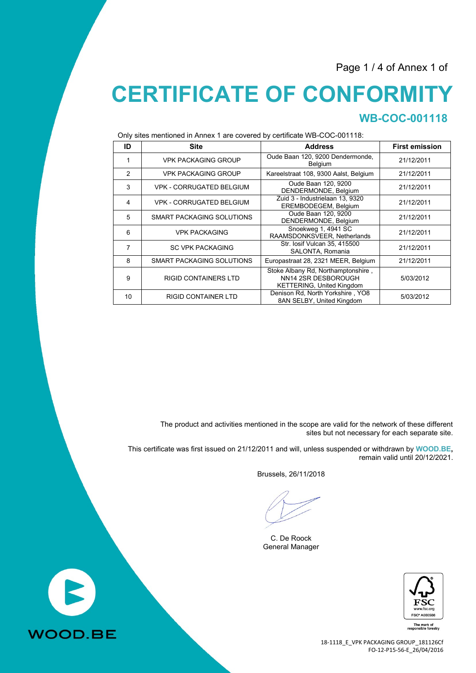Page 1 / 4 of Annex 1 of

# **CERTIFICATE OF CONFORMITY WB-COC-001118**

Only sites mentioned in Annex 1 are covered by certificate WB-COC-001118:

| ID | <b>Site</b>                      | <b>Address</b>                                                                                | <b>First emission</b> |
|----|----------------------------------|-----------------------------------------------------------------------------------------------|-----------------------|
| 1  | <b>VPK PACKAGING GROUP</b>       | Oude Baan 120, 9200 Dendermonde,<br><b>Belgium</b>                                            | 21/12/2011            |
| 2  | <b>VPK PACKAGING GROUP</b>       | Kareelstraat 108, 9300 Aalst, Belgium                                                         | 21/12/2011            |
| 3  | <b>VPK - CORRUGATED BELGIUM</b>  | Oude Baan 120, 9200<br>DENDERMONDE, Belgium                                                   | 21/12/2011            |
| 4  | <b>VPK - CORRUGATED BELGIUM</b>  | Zuid 3 - Industrielaan 13, 9320<br>EREMBODEGEM, Belgium                                       | 21/12/2011            |
| 5  | <b>SMART PACKAGING SOLUTIONS</b> | Oude Baan 120, 9200<br>DENDERMONDE, Belgium                                                   | 21/12/2011            |
| 6  | <b>VPK PACKAGING</b>             | Snoekweg 1, 4941 SC<br>RAAMSDONKSVEER, Netherlands                                            | 21/12/2011            |
| 7  | <b>SC VPK PACKAGING</b>          | Str. losif Vulcan 35, 415500<br>SALONTA, Romania                                              | 21/12/2011            |
| 8  | <b>SMART PACKAGING SOLUTIONS</b> | Europastraat 28, 2321 MEER, Belgium                                                           | 21/12/2011            |
| 9  | <b>RIGID CONTAINERS LTD</b>      | Stoke Albany Rd, Northamptonshire,<br>NN14 2SR DESBOROUGH<br><b>KETTERING, United Kingdom</b> | 5/03/2012             |
| 10 | <b>RIGID CONTAINER LTD</b>       | Denison Rd, North Yorkshire, YO8<br>8AN SELBY, United Kingdom                                 | 5/03/2012             |

The product and activities mentioned in the scope are valid for the network of these different sites but not necessary for each separate site.

This certificate was first issued on 21/12/2011 and will, unless suspended or withdrawn by **WOOD.BE,** remain valid until 20/12/2021.

Brussels, 26/11/2018

C. De Roock General Manager



The mark of<br>sponsible forestry

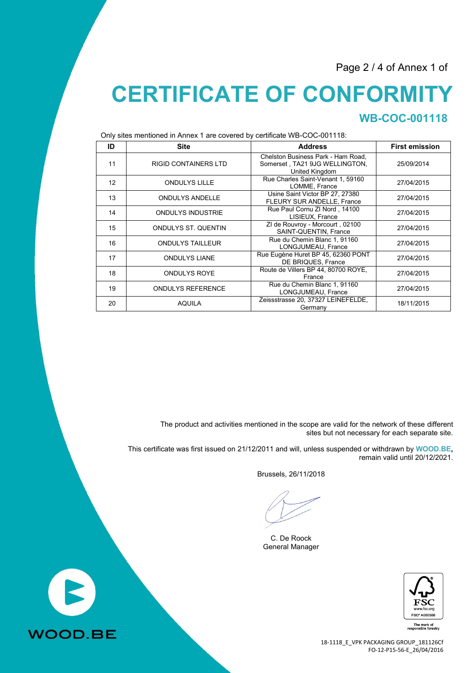Page 2 / 4 of Annex 1 of

# **CERTIFICATE OF CONFORMITY WB-COC-001118**

Only sites mentioned in Annex 1 are covered by certificate WB-COC-001118:

| ID              | <b>Site</b>                 | <b>Address</b>                                                                         | <b>First emission</b> |  |
|-----------------|-----------------------------|----------------------------------------------------------------------------------------|-----------------------|--|
| 11              | <b>RIGID CONTAINERS LTD</b> | Chelston Business Park - Ham Road.<br>Somerset, TA21 9JG WELLINGTON,<br>United Kingdom | 25/09/2014            |  |
| 12 <sup>2</sup> | <b>ONDULYS LILLE</b>        | Rue Charles Saint-Venant 1, 59160<br>LOMME, France                                     | 27/04/2015            |  |
| 13              | <b>ONDULYS ANDELLE</b>      | Usine Saint Victor BP 27, 27380<br>FLEURY SUR ANDELLE, France                          | 27/04/2015            |  |
| 14              | <b>ONDULYS INDUSTRIE</b>    | Rue Paul Cornu ZI Nord, 14100<br>LISIEUX, France                                       | 27/04/2015            |  |
| 15              | <b>ONDULYS ST. QUENTIN</b>  | ZI de Rouvroy - Morcourt, 02100<br>SAINT-QUENTIN, France                               | 27/04/2015            |  |
| 16              | <b>ONDULYS TAILLEUR</b>     | Rue du Chemin Blanc 1, 91160<br>LONGJUMEAU, France                                     | 27/04/2015            |  |
| 17              | <b>ONDULYS LIANE</b>        | Rue Eugène Huret BP 45, 62360 PONT<br>DE BRIQUES, France                               | 27/04/2015            |  |
| 18              | <b>ONDULYS ROYE</b>         | Route de Villers BP 44, 80700 ROYE,<br>France                                          | 27/04/2015            |  |
| 19              | <b>ONDULYS REFERENCE</b>    | Rue du Chemin Blanc 1, 91160<br>LONGJUMEAU, France                                     | 27/04/2015            |  |
| 20              | <b>AQUILA</b>               | Zeissstrasse 20, 37327 LEINEFELDE,<br>Germany                                          | 18/11/2015            |  |

The product and activities mentioned in the scope are valid for the network of these different sites but not necessary for each separate site.

This certificate was first issued on 21/12/2011 and will, unless suspended or withdrawn by **WOOD.BE,** remain valid until 20/12/2021.

Brussels, 26/11/2018

C. De Roock General Manager



The mark of<br>sponsible forestry

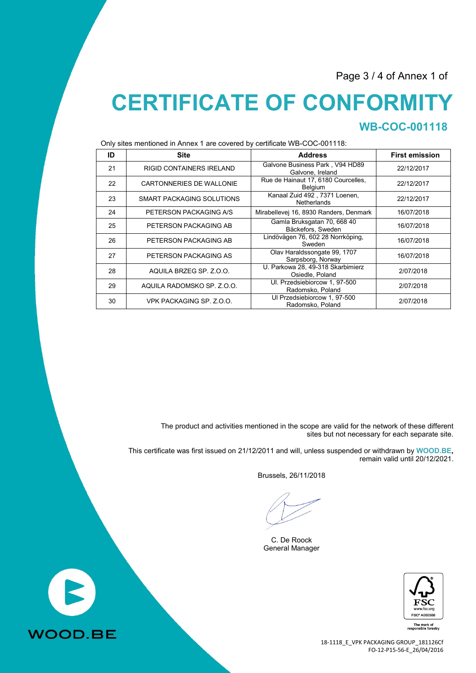Page 3 / 4 of Annex 1 of

# **CERTIFICATE OF CONFORMITY WB-COC-001118**

Only sites mentioned in Annex 1 are covered by certificate WB-COC-001118:

| ID | <b>Site</b>                     | <b>Address</b>                                        | <b>First emission</b> |  |  |
|----|---------------------------------|-------------------------------------------------------|-----------------------|--|--|
| 21 | <b>RIGID CONTAINERS IRELAND</b> | Galvone Business Park, V94 HD89<br>Galvone, Ireland   | 22/12/2017            |  |  |
| 22 | CARTONNERIES DE WALLONIE        | Rue de Hainaut 17, 6180 Courcelles,<br><b>Belgium</b> | 22/12/2017            |  |  |
| 23 | SMART PACKAGING SOLUTIONS       | Kanaal Zuid 492, 7371 Loenen,<br>Netherlands          | 22/12/2017            |  |  |
| 24 | PETERSON PACKAGING A/S          | Mirabellevej 16, 8930 Randers, Denmark                | 16/07/2018            |  |  |
| 25 | PETERSON PACKAGING AB           | Gamla Bruksgatan 70, 668 40<br>Bäckefors, Sweden      | 16/07/2018            |  |  |
| 26 | PETERSON PACKAGING AB           | Lindövägen 76, 602 28 Norrköping,<br>Sweden           | 16/07/2018            |  |  |
| 27 | PETERSON PACKAGING AS           | Olav Haraldssongate 99, 1707<br>Sarpsborg, Norway     | 16/07/2018            |  |  |
| 28 | AQUILA BRZEG SP. Z.O.O.         | U. Parkowa 28, 49-318 Skarbimierz<br>Osiedle, Poland  | 2/07/2018             |  |  |
| 29 | AQUILA RADOMSKO SP. Z.O.O.      | UI. Przedsiebiorcow 1, 97-500<br>Radomsko, Poland     | 2/07/2018             |  |  |
| 30 | VPK PACKAGING SP. Z.O.O.        | Ul Przedsiebiorcow 1, 97-500<br>Radomsko, Poland      | 2/07/2018             |  |  |

The product and activities mentioned in the scope are valid for the network of these different sites but not necessary for each separate site.

This certificate was first issued on 21/12/2011 and will, unless suspended or withdrawn by **WOOD.BE,** remain valid until 20/12/2021.

Brussels, 26/11/2018

C. De Roock General Manager



The mark of<br>esponsible forestry